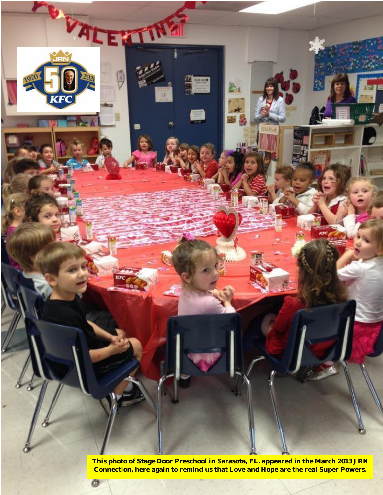

**This photo of Stage Door Preschool in Sarasota, FL. appeared in the March 2013 JRN Connection, here again to remind us that Love and Hope are the real Super Powers.**

ø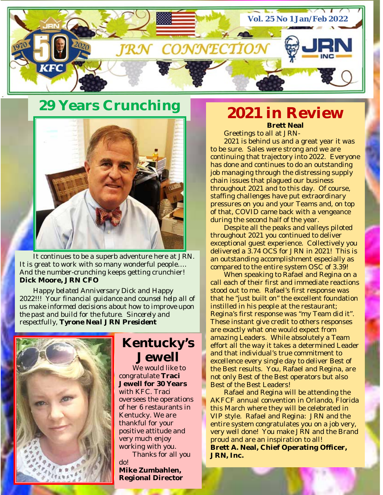

# **29 Years Crunching**



It continues to be a superb adventure here at JRN. It is great to work with so many wonderful people…. And the number-crunching keeps getting crunchier! **Dick Moore, JRN CFO**

*Happy belated Anniversary Dick and Happy 2022!!! Your financial guidance and counsel help all of us make informed decisions about how to improve upon the past and build for the future. Sincerely and respectfully, Tyrone Neal JRN President*



# **Kentucky's Jewell**

We would like to congratulate **Traci Jewell for 30 Years** with KFC. Traci oversees the operations of her 6 restaurants in Kentucky. We are thankful for your positive attitude and very much enjoy working with you. Thanks for all you

do! **Mike Zumbahlen, Regional Director**

## **2021 in Review Brett Neal**

Greetings to all at JRN-

2021 is behind us and a great year it was to be sure. Sales were strong and we are continuing that trajectory into 2022. Everyone has done and continues to do an outstanding job managing through the distressing supply chain issues that plagued our business throughout 2021 and to this day. Of course, staffing challenges have put extraordinary pressures on you and your Teams and, on top of that, COVID came back with a vengeance during the second half of the year.

Despite all the peaks and valleys piloted throughout 2021 you continued to deliver exceptional guest experience. Collectively you delivered a 3.74 OCS for JRN in 2021! This is an outstanding accomplishment especially as compared to the entire system OSC of 3.39!

When speaking to Rafael and Regina on a call each of their first and immediate reactions stood out to me. Rafael's first response was that he "just built on" the excellent foundation instilled in his people at the restaurant; Regina's first response was "my Team did it". These instant give credit to others responses are exactly what one would expect from amazing Leaders. While absolutely a Team effort all the way it takes a determined Leader and that individual's true commitment to excellence every single day to deliver Best of the Best results. You, Rafael and Regina, are not only Best of the Best operators but also Best of the Best Leaders!

Rafael and Regina will be attending the AKFCF annual convention in Orlando, Florida this March where they will be celebrated in VIP style. Rafael and Regina: JRN and the entire system congratulates you on a job very, very well done! You make JRN and the Brand proud and are an inspiration to all! **Brett A. Neal, Chief Operating Officer, JRN, Inc.**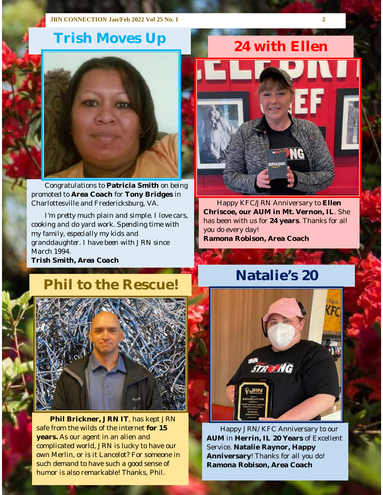# **Trish Moves Up 24 with Ellen**



Congratulations to **Patricia Smith** on being promoted to **Area Coach** for **Tony Bridges** in Charlottesville and Fredericksburg, VA.

*I'm pretty much plain and simple. I love cars, cooking and do yard work. Spending time with my family, especially my kids and granddaughter. I have been with JRN since March 1994. Trish Smith, Area Coach*

# amazor

Happy KFC/JRN Anniversary to **Ellen Chriscoe, our AUM in Mt. Vernon, IL**. She has been with us for **24 years**. Thanks for all you do every day! **Ramona Robison, Area Coach**

# **Phil to the Rescue!** Natalie's 20



**Phil Brickner, JRN IT**, has kept JRN safe from the wilds of the internet **for 15 years.** As our agent in an alien and complicated world, JRN is lucky to have our own Merlin, or is it Lancelot? For someone in such demand to have such a good sense of humor is also remarkable! Thanks, Phil.



Happy JRN/ KFC Anniversary to our **AUM** in **Herrin, IL 20 Years** of Excellent Service. **Natalie Raynor, Happy Anniversary**! Thanks for all you do! **Ramona Robison, Area Coach**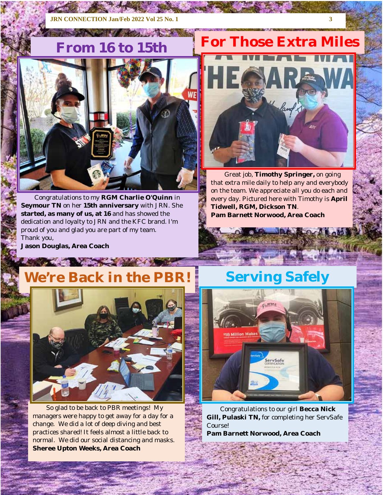## **JRN CONNECTION Jan/Feb 2022 Vol 25 No. 1 3**

**CONTRACTOR** CONTRACTOR



Congratulations to my **RGM Charlie O'Quinn** in **Seymour TN** on her **15th anniversary** with JRN. She **started, as many of us, at 16** and has showed the dedication and loyalty to JRN and the KFC brand. I'm proud of you and glad you are part of my team. Thank you,

**From 16 to 15th For Those Extra Miles** 



Great job, **Timothy Springer,** on going that extra mile daily to help any and everybody on the team. We appreciate all you do each and every day. Pictured here with Timothy is **April Tidwell, RGM, Dickson TN**. **Pam Barnett Norwood, Area Coach**

> **COMPAGNO COMPANY** CARACTER CONTABAT

**Jason Douglas, Area Coach**

# **We're Back in the PBR!** Serving Safely

ANGEL AND COMPANY



So glad to be back to PBR meetings! My managers were happy to get away for a day for a change. We did a lot of deep diving and best practices shared! It feels almost a little back to normal. We did our social distancing and masks. **Sheree Upton Weeks, Area Coach**



Congratulations to our girl **Becca Nick Gill, Pulaski TN,** for completing her ServSafe Course!

**Pam Barnett Norwood, Area Coach**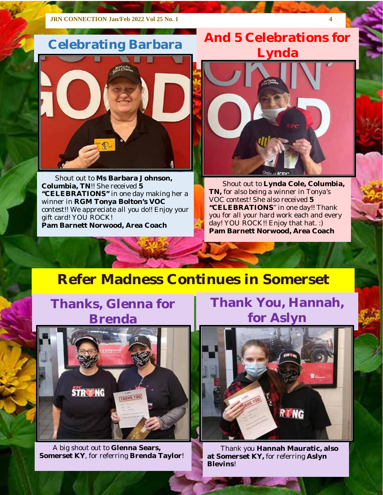# **Celebrating Barbara**



Shout out to **Ms Barbara Johnson, Columbia, TN**!! She received **5 "CELEBRATIONS"** in one day making her a winner in **RGM Tonya Bolton's VOC**  contest!! We appreciate all you do!! Enjoy your gift card! YOU ROCK! **Pam Barnett Norwood, Area Coach**

# **And 5 Celebrations for Lynda**



Shout out to **Lynda Cole, Columbia, TN,** for also being a winner in Tonya's VOC contest! She also received **5 "CELEBRATIONS**" in one day!! Thank you for all your hard work each and every day! YOU ROCK!! Enjoy that hat. :) **Pam Barnett Norwood, Area Coach**

# **Refer Madness Continues in Somerset**

# **Thanks, Glenna for Brenda**



A big shout out to **Glenna Sears, Somerset KY**, for referring **Brenda Taylor**! **Thank You, Hannah, for Aslyn**



Thank you **Hannah Mauratic, also at Somerset KY,** for referring **Aslyn Blevins**!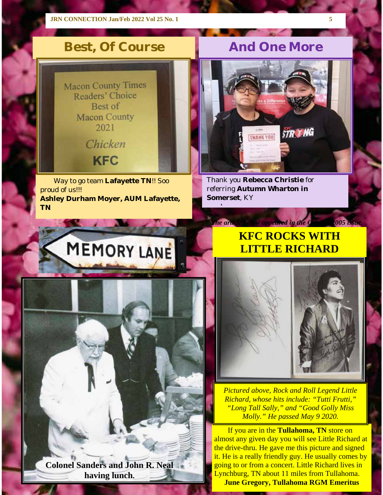

Way to go team **Lafayette TN**!! Soo proud of us!!! **Ashley Durham Moyer, AUM Lafayette, TN**

# **Best, Of Course 4 And One More**



Thank you **Rebecca Christie** for referring **Autumn Wharton in Somerset**, KY

!

# MEMORY LANE

**Colonel Sanders and John R. Neal having lunch.**

# **KFC ROCKS WITH LITTLE RICHARD**

*Le article below appeared in the October 2005 is* 



*Pictured above, Rock and Roll Legend Little Richard, whose hits include: "Tutti Frutti," "Long Tall Sally," and "Good Golly Miss Molly." He passed May 9 2020.*

If you are in the **Tullahoma, TN** store on almost any given day you will see Little Richard at the drive-thru. He gave me this picture and signed it. He is a really friendly guy. He usually comes by going to or from a concert. Little Richard lives in Lynchburg, TN about 11 miles from Tullahoma. **June Gregory, Tullahoma RGM Emeritus**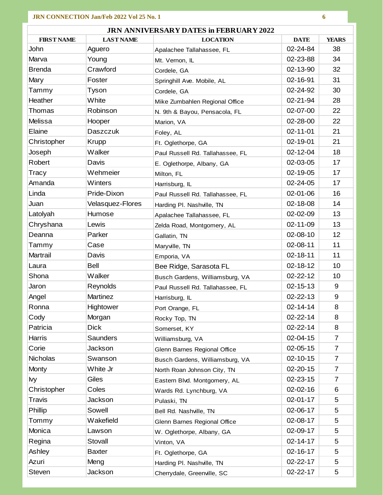| <b>LAST NAME</b><br><b>DATE</b><br><b>YEARS</b><br><b>FIRST NAME</b><br><b>LOCATION</b><br>02-24-84<br>38<br>John<br>Aguero<br>Apalachee Tallahassee, FL<br>34<br>Marva<br>Young<br>02-23-88<br>Mt. Vernon, IL<br>32<br><b>Brenda</b><br>Crawford<br>02-13-90<br>Cordele, GA<br>31<br>Mary<br>Foster<br>02-16-91<br>Springhill Ave. Mobile, AL<br>30<br>Tammy<br>Tyson<br>02-24-92<br>Cordele, GA<br>Heather<br>White<br>28<br>02-21-94<br>Mike Zumbahlen Regional Office<br>22<br>Thomas<br>Robinson<br>02-07-00<br>N. 9th & Bayou, Pensacola, FL<br>22<br>Melissa<br>02-28-00<br>Hooper<br>Marion, VA<br>Elaine<br>21<br>$02 - 11 - 01$<br>Daszczuk<br>Foley, AL<br>21<br>Christopher<br><b>Krupp</b><br>02-19-01<br>Ft. Oglethorpe, GA<br>Walker<br>18<br>Joseph<br>02-12-04<br>Paul Russell Rd. Tallahassee, FL<br>Robert<br>Davis<br>02-03-05<br>17<br>E. Oglethorpe, Albany, GA<br>17<br>Wehmeier<br>02-19-05<br>Tracy<br>Milton, FL<br>Amanda<br>Winters<br>02-24-05<br>17<br>Harrisburg, IL<br>Linda<br>Pride-Dixon<br>16<br>02-01-06<br>Paul Russell Rd. Tallahassee, FL<br>14<br>Juan<br>Velasquez-Flores<br>02-18-08<br>Harding Pl. Nashville, TN<br>13<br>Latolyah<br>02-02-09<br>Humose<br>Apalachee Tallahassee, FL<br>02-11-09<br>13<br>Chryshana<br>Lewis<br>Zelda Road, Montgomery, AL<br>12<br>Deanna<br>Parker<br>02-08-10<br>Gallatin, TN<br>11<br>02-08-11<br>Tammy<br>Case<br>Maryville, TN<br>11<br>Martrail<br>$02 - 18 - 11$<br>Davis<br>Emporia, VA<br>10<br>Bell<br>02-18-12<br>Laura<br>Bee Ridge, Sarasota FL<br>Walker<br>Shona<br>$02 - 22 - 12$<br>10<br>Busch Gardens, Williamsburg, VA<br>Reynolds<br>$02 - 15 - 13$<br>9<br>Jaron<br>Paul Russell Rd. Tallahassee, FL<br>$\boldsymbol{9}$<br>Angel<br><b>Martinez</b><br>$02 - 22 - 13$<br>Harrisburg, IL<br>8<br>Ronna<br>Hightower<br>$02 - 14 - 14$<br>Port Orange, FL<br>$02 - 22 - 14$<br>Cody<br>Morgan<br>8<br>Rocky Top, TN<br><b>Dick</b><br>8<br>Patricia<br>$02 - 22 - 14$<br>Somerset, KY<br>Harris<br>Saunders<br>02-04-15<br>7<br>Williamsburg, VA<br>Corie<br>Jackson<br>$02 - 05 - 15$<br>$\overline{7}$<br>Glenn Barnes Regional Office<br>Nicholas<br>02-10-15<br>Swanson<br>7<br>Busch Gardens, Williamsburg, VA<br><b>Monty</b><br>White Jr<br>$02 - 20 - 15$<br>7<br>North Roan Johnson City, TN<br>Giles<br>7<br>02-23-15<br>lvy<br>Eastern Blvd. Montgomery, AL<br>Christopher<br>Coles<br>$02 - 02 - 16$<br>6<br>Wards Rd. Lynchburg, VA<br>Travis<br>Jackson<br>02-01-17<br>5<br>Pulaski, TN<br>Phillip<br>Sowell<br>02-06-17<br>5<br>Bell Rd. Nashville, TN<br>Tommy<br>Wakefield<br>02-08-17<br>5<br>Glenn Barnes Regional Office<br>Monica<br>02-09-17<br>5<br>Lawson<br>W. Oglethorpe, Albany, GA<br>Regina<br>Stovall<br>$02 - 14 - 17$<br>5<br>Vinton, VA<br>Ashley<br>02-16-17<br>5<br><b>Baxter</b><br>Ft. Oglethorpe, GA<br>5<br>Azuri<br>Meng<br>02-22-17<br>Harding Pl. Nashville, TN | <b>JRN ANNIVERSARY DATES in FEBRUARY 2022</b> |  |  |  |  |  |
|--------------------------------------------------------------------------------------------------------------------------------------------------------------------------------------------------------------------------------------------------------------------------------------------------------------------------------------------------------------------------------------------------------------------------------------------------------------------------------------------------------------------------------------------------------------------------------------------------------------------------------------------------------------------------------------------------------------------------------------------------------------------------------------------------------------------------------------------------------------------------------------------------------------------------------------------------------------------------------------------------------------------------------------------------------------------------------------------------------------------------------------------------------------------------------------------------------------------------------------------------------------------------------------------------------------------------------------------------------------------------------------------------------------------------------------------------------------------------------------------------------------------------------------------------------------------------------------------------------------------------------------------------------------------------------------------------------------------------------------------------------------------------------------------------------------------------------------------------------------------------------------------------------------------------------------------------------------------------------------------------------------------------------------------------------------------------------------------------------------------------------------------------------------------------------------------------------------------------------------------------------------------------------------------------------------------------------------------------------------------------------------------------------------------------------------------------------------------------------------------------------------------------------------------------------------------------------------------------------------------------------------------------------------------------------------------------------------------------------------------------------------------------------------------------------------------------------------------------------------------------------------------------------------|-----------------------------------------------|--|--|--|--|--|
|                                                                                                                                                                                                                                                                                                                                                                                                                                                                                                                                                                                                                                                                                                                                                                                                                                                                                                                                                                                                                                                                                                                                                                                                                                                                                                                                                                                                                                                                                                                                                                                                                                                                                                                                                                                                                                                                                                                                                                                                                                                                                                                                                                                                                                                                                                                                                                                                                                                                                                                                                                                                                                                                                                                                                                                                                                                                                                              |                                               |  |  |  |  |  |
|                                                                                                                                                                                                                                                                                                                                                                                                                                                                                                                                                                                                                                                                                                                                                                                                                                                                                                                                                                                                                                                                                                                                                                                                                                                                                                                                                                                                                                                                                                                                                                                                                                                                                                                                                                                                                                                                                                                                                                                                                                                                                                                                                                                                                                                                                                                                                                                                                                                                                                                                                                                                                                                                                                                                                                                                                                                                                                              |                                               |  |  |  |  |  |
|                                                                                                                                                                                                                                                                                                                                                                                                                                                                                                                                                                                                                                                                                                                                                                                                                                                                                                                                                                                                                                                                                                                                                                                                                                                                                                                                                                                                                                                                                                                                                                                                                                                                                                                                                                                                                                                                                                                                                                                                                                                                                                                                                                                                                                                                                                                                                                                                                                                                                                                                                                                                                                                                                                                                                                                                                                                                                                              |                                               |  |  |  |  |  |
|                                                                                                                                                                                                                                                                                                                                                                                                                                                                                                                                                                                                                                                                                                                                                                                                                                                                                                                                                                                                                                                                                                                                                                                                                                                                                                                                                                                                                                                                                                                                                                                                                                                                                                                                                                                                                                                                                                                                                                                                                                                                                                                                                                                                                                                                                                                                                                                                                                                                                                                                                                                                                                                                                                                                                                                                                                                                                                              |                                               |  |  |  |  |  |
|                                                                                                                                                                                                                                                                                                                                                                                                                                                                                                                                                                                                                                                                                                                                                                                                                                                                                                                                                                                                                                                                                                                                                                                                                                                                                                                                                                                                                                                                                                                                                                                                                                                                                                                                                                                                                                                                                                                                                                                                                                                                                                                                                                                                                                                                                                                                                                                                                                                                                                                                                                                                                                                                                                                                                                                                                                                                                                              |                                               |  |  |  |  |  |
|                                                                                                                                                                                                                                                                                                                                                                                                                                                                                                                                                                                                                                                                                                                                                                                                                                                                                                                                                                                                                                                                                                                                                                                                                                                                                                                                                                                                                                                                                                                                                                                                                                                                                                                                                                                                                                                                                                                                                                                                                                                                                                                                                                                                                                                                                                                                                                                                                                                                                                                                                                                                                                                                                                                                                                                                                                                                                                              |                                               |  |  |  |  |  |
|                                                                                                                                                                                                                                                                                                                                                                                                                                                                                                                                                                                                                                                                                                                                                                                                                                                                                                                                                                                                                                                                                                                                                                                                                                                                                                                                                                                                                                                                                                                                                                                                                                                                                                                                                                                                                                                                                                                                                                                                                                                                                                                                                                                                                                                                                                                                                                                                                                                                                                                                                                                                                                                                                                                                                                                                                                                                                                              |                                               |  |  |  |  |  |
|                                                                                                                                                                                                                                                                                                                                                                                                                                                                                                                                                                                                                                                                                                                                                                                                                                                                                                                                                                                                                                                                                                                                                                                                                                                                                                                                                                                                                                                                                                                                                                                                                                                                                                                                                                                                                                                                                                                                                                                                                                                                                                                                                                                                                                                                                                                                                                                                                                                                                                                                                                                                                                                                                                                                                                                                                                                                                                              |                                               |  |  |  |  |  |
|                                                                                                                                                                                                                                                                                                                                                                                                                                                                                                                                                                                                                                                                                                                                                                                                                                                                                                                                                                                                                                                                                                                                                                                                                                                                                                                                                                                                                                                                                                                                                                                                                                                                                                                                                                                                                                                                                                                                                                                                                                                                                                                                                                                                                                                                                                                                                                                                                                                                                                                                                                                                                                                                                                                                                                                                                                                                                                              |                                               |  |  |  |  |  |
|                                                                                                                                                                                                                                                                                                                                                                                                                                                                                                                                                                                                                                                                                                                                                                                                                                                                                                                                                                                                                                                                                                                                                                                                                                                                                                                                                                                                                                                                                                                                                                                                                                                                                                                                                                                                                                                                                                                                                                                                                                                                                                                                                                                                                                                                                                                                                                                                                                                                                                                                                                                                                                                                                                                                                                                                                                                                                                              |                                               |  |  |  |  |  |
|                                                                                                                                                                                                                                                                                                                                                                                                                                                                                                                                                                                                                                                                                                                                                                                                                                                                                                                                                                                                                                                                                                                                                                                                                                                                                                                                                                                                                                                                                                                                                                                                                                                                                                                                                                                                                                                                                                                                                                                                                                                                                                                                                                                                                                                                                                                                                                                                                                                                                                                                                                                                                                                                                                                                                                                                                                                                                                              |                                               |  |  |  |  |  |
|                                                                                                                                                                                                                                                                                                                                                                                                                                                                                                                                                                                                                                                                                                                                                                                                                                                                                                                                                                                                                                                                                                                                                                                                                                                                                                                                                                                                                                                                                                                                                                                                                                                                                                                                                                                                                                                                                                                                                                                                                                                                                                                                                                                                                                                                                                                                                                                                                                                                                                                                                                                                                                                                                                                                                                                                                                                                                                              |                                               |  |  |  |  |  |
|                                                                                                                                                                                                                                                                                                                                                                                                                                                                                                                                                                                                                                                                                                                                                                                                                                                                                                                                                                                                                                                                                                                                                                                                                                                                                                                                                                                                                                                                                                                                                                                                                                                                                                                                                                                                                                                                                                                                                                                                                                                                                                                                                                                                                                                                                                                                                                                                                                                                                                                                                                                                                                                                                                                                                                                                                                                                                                              |                                               |  |  |  |  |  |
|                                                                                                                                                                                                                                                                                                                                                                                                                                                                                                                                                                                                                                                                                                                                                                                                                                                                                                                                                                                                                                                                                                                                                                                                                                                                                                                                                                                                                                                                                                                                                                                                                                                                                                                                                                                                                                                                                                                                                                                                                                                                                                                                                                                                                                                                                                                                                                                                                                                                                                                                                                                                                                                                                                                                                                                                                                                                                                              |                                               |  |  |  |  |  |
|                                                                                                                                                                                                                                                                                                                                                                                                                                                                                                                                                                                                                                                                                                                                                                                                                                                                                                                                                                                                                                                                                                                                                                                                                                                                                                                                                                                                                                                                                                                                                                                                                                                                                                                                                                                                                                                                                                                                                                                                                                                                                                                                                                                                                                                                                                                                                                                                                                                                                                                                                                                                                                                                                                                                                                                                                                                                                                              |                                               |  |  |  |  |  |
|                                                                                                                                                                                                                                                                                                                                                                                                                                                                                                                                                                                                                                                                                                                                                                                                                                                                                                                                                                                                                                                                                                                                                                                                                                                                                                                                                                                                                                                                                                                                                                                                                                                                                                                                                                                                                                                                                                                                                                                                                                                                                                                                                                                                                                                                                                                                                                                                                                                                                                                                                                                                                                                                                                                                                                                                                                                                                                              |                                               |  |  |  |  |  |
|                                                                                                                                                                                                                                                                                                                                                                                                                                                                                                                                                                                                                                                                                                                                                                                                                                                                                                                                                                                                                                                                                                                                                                                                                                                                                                                                                                                                                                                                                                                                                                                                                                                                                                                                                                                                                                                                                                                                                                                                                                                                                                                                                                                                                                                                                                                                                                                                                                                                                                                                                                                                                                                                                                                                                                                                                                                                                                              |                                               |  |  |  |  |  |
|                                                                                                                                                                                                                                                                                                                                                                                                                                                                                                                                                                                                                                                                                                                                                                                                                                                                                                                                                                                                                                                                                                                                                                                                                                                                                                                                                                                                                                                                                                                                                                                                                                                                                                                                                                                                                                                                                                                                                                                                                                                                                                                                                                                                                                                                                                                                                                                                                                                                                                                                                                                                                                                                                                                                                                                                                                                                                                              |                                               |  |  |  |  |  |
|                                                                                                                                                                                                                                                                                                                                                                                                                                                                                                                                                                                                                                                                                                                                                                                                                                                                                                                                                                                                                                                                                                                                                                                                                                                                                                                                                                                                                                                                                                                                                                                                                                                                                                                                                                                                                                                                                                                                                                                                                                                                                                                                                                                                                                                                                                                                                                                                                                                                                                                                                                                                                                                                                                                                                                                                                                                                                                              |                                               |  |  |  |  |  |
|                                                                                                                                                                                                                                                                                                                                                                                                                                                                                                                                                                                                                                                                                                                                                                                                                                                                                                                                                                                                                                                                                                                                                                                                                                                                                                                                                                                                                                                                                                                                                                                                                                                                                                                                                                                                                                                                                                                                                                                                                                                                                                                                                                                                                                                                                                                                                                                                                                                                                                                                                                                                                                                                                                                                                                                                                                                                                                              |                                               |  |  |  |  |  |
|                                                                                                                                                                                                                                                                                                                                                                                                                                                                                                                                                                                                                                                                                                                                                                                                                                                                                                                                                                                                                                                                                                                                                                                                                                                                                                                                                                                                                                                                                                                                                                                                                                                                                                                                                                                                                                                                                                                                                                                                                                                                                                                                                                                                                                                                                                                                                                                                                                                                                                                                                                                                                                                                                                                                                                                                                                                                                                              |                                               |  |  |  |  |  |
|                                                                                                                                                                                                                                                                                                                                                                                                                                                                                                                                                                                                                                                                                                                                                                                                                                                                                                                                                                                                                                                                                                                                                                                                                                                                                                                                                                                                                                                                                                                                                                                                                                                                                                                                                                                                                                                                                                                                                                                                                                                                                                                                                                                                                                                                                                                                                                                                                                                                                                                                                                                                                                                                                                                                                                                                                                                                                                              |                                               |  |  |  |  |  |
|                                                                                                                                                                                                                                                                                                                                                                                                                                                                                                                                                                                                                                                                                                                                                                                                                                                                                                                                                                                                                                                                                                                                                                                                                                                                                                                                                                                                                                                                                                                                                                                                                                                                                                                                                                                                                                                                                                                                                                                                                                                                                                                                                                                                                                                                                                                                                                                                                                                                                                                                                                                                                                                                                                                                                                                                                                                                                                              |                                               |  |  |  |  |  |
|                                                                                                                                                                                                                                                                                                                                                                                                                                                                                                                                                                                                                                                                                                                                                                                                                                                                                                                                                                                                                                                                                                                                                                                                                                                                                                                                                                                                                                                                                                                                                                                                                                                                                                                                                                                                                                                                                                                                                                                                                                                                                                                                                                                                                                                                                                                                                                                                                                                                                                                                                                                                                                                                                                                                                                                                                                                                                                              |                                               |  |  |  |  |  |
|                                                                                                                                                                                                                                                                                                                                                                                                                                                                                                                                                                                                                                                                                                                                                                                                                                                                                                                                                                                                                                                                                                                                                                                                                                                                                                                                                                                                                                                                                                                                                                                                                                                                                                                                                                                                                                                                                                                                                                                                                                                                                                                                                                                                                                                                                                                                                                                                                                                                                                                                                                                                                                                                                                                                                                                                                                                                                                              |                                               |  |  |  |  |  |
|                                                                                                                                                                                                                                                                                                                                                                                                                                                                                                                                                                                                                                                                                                                                                                                                                                                                                                                                                                                                                                                                                                                                                                                                                                                                                                                                                                                                                                                                                                                                                                                                                                                                                                                                                                                                                                                                                                                                                                                                                                                                                                                                                                                                                                                                                                                                                                                                                                                                                                                                                                                                                                                                                                                                                                                                                                                                                                              |                                               |  |  |  |  |  |
|                                                                                                                                                                                                                                                                                                                                                                                                                                                                                                                                                                                                                                                                                                                                                                                                                                                                                                                                                                                                                                                                                                                                                                                                                                                                                                                                                                                                                                                                                                                                                                                                                                                                                                                                                                                                                                                                                                                                                                                                                                                                                                                                                                                                                                                                                                                                                                                                                                                                                                                                                                                                                                                                                                                                                                                                                                                                                                              |                                               |  |  |  |  |  |
|                                                                                                                                                                                                                                                                                                                                                                                                                                                                                                                                                                                                                                                                                                                                                                                                                                                                                                                                                                                                                                                                                                                                                                                                                                                                                                                                                                                                                                                                                                                                                                                                                                                                                                                                                                                                                                                                                                                                                                                                                                                                                                                                                                                                                                                                                                                                                                                                                                                                                                                                                                                                                                                                                                                                                                                                                                                                                                              |                                               |  |  |  |  |  |
|                                                                                                                                                                                                                                                                                                                                                                                                                                                                                                                                                                                                                                                                                                                                                                                                                                                                                                                                                                                                                                                                                                                                                                                                                                                                                                                                                                                                                                                                                                                                                                                                                                                                                                                                                                                                                                                                                                                                                                                                                                                                                                                                                                                                                                                                                                                                                                                                                                                                                                                                                                                                                                                                                                                                                                                                                                                                                                              |                                               |  |  |  |  |  |
|                                                                                                                                                                                                                                                                                                                                                                                                                                                                                                                                                                                                                                                                                                                                                                                                                                                                                                                                                                                                                                                                                                                                                                                                                                                                                                                                                                                                                                                                                                                                                                                                                                                                                                                                                                                                                                                                                                                                                                                                                                                                                                                                                                                                                                                                                                                                                                                                                                                                                                                                                                                                                                                                                                                                                                                                                                                                                                              |                                               |  |  |  |  |  |
|                                                                                                                                                                                                                                                                                                                                                                                                                                                                                                                                                                                                                                                                                                                                                                                                                                                                                                                                                                                                                                                                                                                                                                                                                                                                                                                                                                                                                                                                                                                                                                                                                                                                                                                                                                                                                                                                                                                                                                                                                                                                                                                                                                                                                                                                                                                                                                                                                                                                                                                                                                                                                                                                                                                                                                                                                                                                                                              |                                               |  |  |  |  |  |
|                                                                                                                                                                                                                                                                                                                                                                                                                                                                                                                                                                                                                                                                                                                                                                                                                                                                                                                                                                                                                                                                                                                                                                                                                                                                                                                                                                                                                                                                                                                                                                                                                                                                                                                                                                                                                                                                                                                                                                                                                                                                                                                                                                                                                                                                                                                                                                                                                                                                                                                                                                                                                                                                                                                                                                                                                                                                                                              |                                               |  |  |  |  |  |
|                                                                                                                                                                                                                                                                                                                                                                                                                                                                                                                                                                                                                                                                                                                                                                                                                                                                                                                                                                                                                                                                                                                                                                                                                                                                                                                                                                                                                                                                                                                                                                                                                                                                                                                                                                                                                                                                                                                                                                                                                                                                                                                                                                                                                                                                                                                                                                                                                                                                                                                                                                                                                                                                                                                                                                                                                                                                                                              |                                               |  |  |  |  |  |
|                                                                                                                                                                                                                                                                                                                                                                                                                                                                                                                                                                                                                                                                                                                                                                                                                                                                                                                                                                                                                                                                                                                                                                                                                                                                                                                                                                                                                                                                                                                                                                                                                                                                                                                                                                                                                                                                                                                                                                                                                                                                                                                                                                                                                                                                                                                                                                                                                                                                                                                                                                                                                                                                                                                                                                                                                                                                                                              |                                               |  |  |  |  |  |
|                                                                                                                                                                                                                                                                                                                                                                                                                                                                                                                                                                                                                                                                                                                                                                                                                                                                                                                                                                                                                                                                                                                                                                                                                                                                                                                                                                                                                                                                                                                                                                                                                                                                                                                                                                                                                                                                                                                                                                                                                                                                                                                                                                                                                                                                                                                                                                                                                                                                                                                                                                                                                                                                                                                                                                                                                                                                                                              |                                               |  |  |  |  |  |
|                                                                                                                                                                                                                                                                                                                                                                                                                                                                                                                                                                                                                                                                                                                                                                                                                                                                                                                                                                                                                                                                                                                                                                                                                                                                                                                                                                                                                                                                                                                                                                                                                                                                                                                                                                                                                                                                                                                                                                                                                                                                                                                                                                                                                                                                                                                                                                                                                                                                                                                                                                                                                                                                                                                                                                                                                                                                                                              |                                               |  |  |  |  |  |
|                                                                                                                                                                                                                                                                                                                                                                                                                                                                                                                                                                                                                                                                                                                                                                                                                                                                                                                                                                                                                                                                                                                                                                                                                                                                                                                                                                                                                                                                                                                                                                                                                                                                                                                                                                                                                                                                                                                                                                                                                                                                                                                                                                                                                                                                                                                                                                                                                                                                                                                                                                                                                                                                                                                                                                                                                                                                                                              |                                               |  |  |  |  |  |
|                                                                                                                                                                                                                                                                                                                                                                                                                                                                                                                                                                                                                                                                                                                                                                                                                                                                                                                                                                                                                                                                                                                                                                                                                                                                                                                                                                                                                                                                                                                                                                                                                                                                                                                                                                                                                                                                                                                                                                                                                                                                                                                                                                                                                                                                                                                                                                                                                                                                                                                                                                                                                                                                                                                                                                                                                                                                                                              |                                               |  |  |  |  |  |
|                                                                                                                                                                                                                                                                                                                                                                                                                                                                                                                                                                                                                                                                                                                                                                                                                                                                                                                                                                                                                                                                                                                                                                                                                                                                                                                                                                                                                                                                                                                                                                                                                                                                                                                                                                                                                                                                                                                                                                                                                                                                                                                                                                                                                                                                                                                                                                                                                                                                                                                                                                                                                                                                                                                                                                                                                                                                                                              |                                               |  |  |  |  |  |
|                                                                                                                                                                                                                                                                                                                                                                                                                                                                                                                                                                                                                                                                                                                                                                                                                                                                                                                                                                                                                                                                                                                                                                                                                                                                                                                                                                                                                                                                                                                                                                                                                                                                                                                                                                                                                                                                                                                                                                                                                                                                                                                                                                                                                                                                                                                                                                                                                                                                                                                                                                                                                                                                                                                                                                                                                                                                                                              |                                               |  |  |  |  |  |
|                                                                                                                                                                                                                                                                                                                                                                                                                                                                                                                                                                                                                                                                                                                                                                                                                                                                                                                                                                                                                                                                                                                                                                                                                                                                                                                                                                                                                                                                                                                                                                                                                                                                                                                                                                                                                                                                                                                                                                                                                                                                                                                                                                                                                                                                                                                                                                                                                                                                                                                                                                                                                                                                                                                                                                                                                                                                                                              |                                               |  |  |  |  |  |
|                                                                                                                                                                                                                                                                                                                                                                                                                                                                                                                                                                                                                                                                                                                                                                                                                                                                                                                                                                                                                                                                                                                                                                                                                                                                                                                                                                                                                                                                                                                                                                                                                                                                                                                                                                                                                                                                                                                                                                                                                                                                                                                                                                                                                                                                                                                                                                                                                                                                                                                                                                                                                                                                                                                                                                                                                                                                                                              |                                               |  |  |  |  |  |
| Steven<br>02-22-17<br>5<br>Jackson<br>Cherrydale, Greenville, SC                                                                                                                                                                                                                                                                                                                                                                                                                                                                                                                                                                                                                                                                                                                                                                                                                                                                                                                                                                                                                                                                                                                                                                                                                                                                                                                                                                                                                                                                                                                                                                                                                                                                                                                                                                                                                                                                                                                                                                                                                                                                                                                                                                                                                                                                                                                                                                                                                                                                                                                                                                                                                                                                                                                                                                                                                                             |                                               |  |  |  |  |  |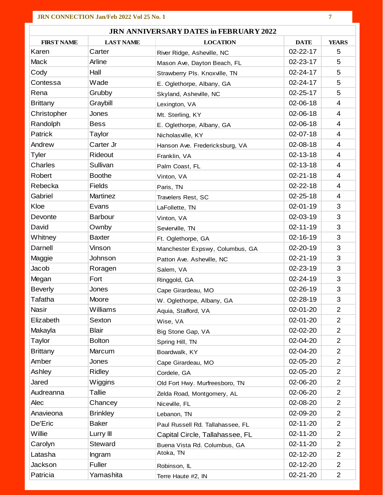| <b>JRN ANNIVERSARY DATES in FEBRUARY 2022</b> |                  |                                  |                |                         |  |
|-----------------------------------------------|------------------|----------------------------------|----------------|-------------------------|--|
| <b>FIRST NAME</b>                             | <b>LAST NAME</b> | <b>LOCATION</b>                  | <b>DATE</b>    | <b>YEARS</b>            |  |
| Karen                                         | Carter           | River Ridge, Asheville, NC       | 02-22-17       | 5                       |  |
| Mack                                          | Arline           | Mason Ave, Dayton Beach, FL      | 02-23-17       | 5                       |  |
| Cody                                          | Hall             | Strawberry Pls. Knoxville, TN    | 02-24-17       | 5                       |  |
| Contessa                                      | Wade             | E. Oglethorpe, Albany, GA        | 02-24-17       | 5                       |  |
| Rena                                          | Grubby           | Skyland, Asheville, NC           | $02 - 25 - 17$ | 5                       |  |
| <b>Brittany</b>                               | Graybill         | Lexington, VA                    | 02-06-18       | $\overline{\mathbf{4}}$ |  |
| Christopher                                   | Jones            | Mt. Sterling, KY                 | 02-06-18       | $\overline{4}$          |  |
| Randolph                                      | <b>Bess</b>      | E. Oglethorpe, Albany, GA        | 02-06-18       | $\overline{4}$          |  |
| Patrick                                       | Taylor           | Nicholasville, KY                | 02-07-18       | $\overline{\mathbf{4}}$ |  |
| Andrew                                        | Carter Jr        | Hanson Ave. Fredericksburg, VA   | 02-08-18       | $\overline{\mathbf{4}}$ |  |
| <b>Tyler</b>                                  | Rideout          | Franklin, VA                     | 02-13-18       | $\overline{4}$          |  |
| Charles                                       | Sullivan         | Palm Coast, FL                   | 02-13-18       | $\overline{4}$          |  |
| Robert                                        | <b>Boothe</b>    | Vinton, VA                       | $02 - 21 - 18$ | $\overline{4}$          |  |
| Rebecka                                       | <b>Fields</b>    | Paris, TN                        | $02 - 22 - 18$ | $\overline{\mathbf{4}}$ |  |
| Gabriel                                       | <b>Martinez</b>  | Travelers Rest, SC               | $02 - 25 - 18$ | $\overline{4}$          |  |
| Kloe                                          | Evans            | LaFollette, TN                   | 02-01-19       | 3                       |  |
| Devonte                                       | <b>Barbour</b>   | Vinton, VA                       | 02-03-19       | 3                       |  |
| David                                         | Ownby            | Sevierville, TN                  | $02 - 11 - 19$ | 3                       |  |
| Whitney                                       | <b>Baxter</b>    | Ft. Oglethorpe, GA               | 02-16-19       | 3                       |  |
| Darnell                                       | Vinson           | Manchester Expswy, Columbus, GA  | 02-20-19       | 3                       |  |
| Maggie                                        | Johnson          | Patton Ave. Asheville, NC        | $02 - 21 - 19$ | 3                       |  |
| Jacob                                         | Roragen          | Salem, VA                        | 02-23-19       | 3                       |  |
| Megan                                         | Fort             | Ringgold, GA                     | 02-24-19       | 3                       |  |
| <b>Beverly</b>                                | Jones            | Cape Girardeau, MO               | 02-26-19       | 3                       |  |
| Tafatha                                       | Moore            | W. Oglethorpe, Albany, GA        | 02-28-19       | 3                       |  |
| <b>Nasir</b>                                  | Williams         | Aquia, Stafford, VA              | 02-01-20       | $\overline{2}$          |  |
| Elizabeth                                     | Sexton           | Wise, VA                         | 02-01-20       | $\overline{2}$          |  |
| Makayla                                       | <b>Blair</b>     | Big Stone Gap, VA                | 02-02-20       | 2                       |  |
| Taylor                                        | <b>Bolton</b>    | Spring Hill, TN                  | 02-04-20       | $\overline{2}$          |  |
| <b>Brittany</b>                               | Marcum           | Boardwalk, KY                    | 02-04-20       | $\overline{2}$          |  |
| Amber                                         | Jones            | Cape Girardeau, MO               | 02-05-20       | $\overline{2}$          |  |
| Ashley                                        | Ridley           | Cordele, GA                      | 02-05-20       | 2                       |  |
| Jared                                         | Wiggins          | Old Fort Hwy. Murfreesboro, TN   | 02-06-20       | $\overline{2}$          |  |
| Audreanna                                     | <b>Tallie</b>    | Zelda Road, Montgomery, AL       | 02-06-20       | $\overline{2}$          |  |
| Alec                                          | Chancey          | Niceville, FL                    | 02-08-20       | $\overline{2}$          |  |
| Anavieona                                     | <b>Brinkley</b>  | Lebanon, TN                      | 02-09-20       | 2                       |  |
| De'Eric                                       | <b>Baker</b>     | Paul Russell Rd. Tallahassee, FL | 02-11-20       | 2                       |  |
| Willie                                        | Lurry III        | Capital Circle, Tallahassee, FL  | 02-11-20       | $\overline{2}$          |  |
| Carolyn                                       | Steward          | Buena Vista Rd. Columbus, GA     | 02-11-20       | $\overline{2}$          |  |
| Latasha                                       | Ingram           | Atoka, TN                        | 02-12-20       | $\overline{2}$          |  |
| Jackson                                       | Fuller           | Robinson, IL                     | 02-12-20       | 2                       |  |
| Patricia                                      | Yamashita        | Terre Haute #2, IN               | 02-21-20       | $\overline{2}$          |  |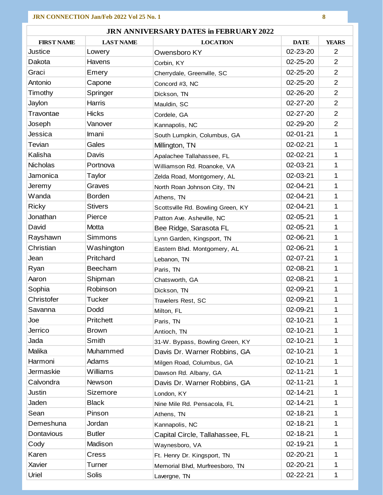| <b>JRN ANNIVERSARY DATES in FEBRUARY 2022</b> |                  |                                   |                |                |
|-----------------------------------------------|------------------|-----------------------------------|----------------|----------------|
| <b>FIRST NAME</b>                             | <b>LAST NAME</b> | <b>LOCATION</b>                   | <b>DATE</b>    | <b>YEARS</b>   |
| Justice                                       | Lowery           | Owensboro KY                      | 02-23-20       | $\overline{2}$ |
| Dakota                                        | Havens           | Corbin, KY                        | 02-25-20       | $\overline{2}$ |
| Graci                                         | Emery            | Cherrydale, Greenville, SC        | 02-25-20       | $\overline{2}$ |
| Antonio                                       | Capone           | Concord #3, NC                    | $02 - 25 - 20$ | $\overline{2}$ |
| Timothy                                       | Springer         | Dickson, TN                       | 02-26-20       | $\overline{2}$ |
| Jaylon                                        | <b>Harris</b>    | Mauldin, SC                       | $02 - 27 - 20$ | $\overline{2}$ |
| Travontae                                     | <b>Hicks</b>     | Cordele, GA                       | $02 - 27 - 20$ | $\overline{2}$ |
| Joseph                                        | Vanover          | Kannapolis, NC                    | 02-29-20       | $\overline{2}$ |
| Jessica                                       | Imani            | South Lumpkin, Columbus, GA       | 02-01-21       | 1              |
| Tevian                                        | Gales            | Millington, TN                    | 02-02-21       | $\mathbf{1}$   |
| Kalisha                                       | Davis            | Apalachee Tallahassee, FL         | 02-02-21       | $\mathbf{1}$   |
| <b>Nicholas</b>                               | Portnova         | Williamson Rd. Roanoke, VA        | 02-03-21       | 1              |
| Jamonica                                      | Taylor           | Zelda Road, Montgomery, AL        | 02-03-21       | 1              |
| Jeremy                                        | Graves           | North Roan Johnson City, TN       | 02-04-21       | $\mathbf{1}$   |
| Wanda                                         | <b>Borden</b>    | Athens, TN                        | 02-04-21       | 1              |
| <b>Ricky</b>                                  | <b>Stivers</b>   | Scottsville Rd. Bowling Green, KY | 02-04-21       | $\mathbf{1}$   |
| Jonathan                                      | Pierce           | Patton Ave. Asheville, NC         | 02-05-21       | 1              |
| David                                         | Motta            | Bee Ridge, Sarasota FL            | 02-05-21       | $\mathbf{1}$   |
| Rayshawn                                      | Simmons          | Lynn Garden, Kingsport, TN        | 02-06-21       | $\mathbf{1}$   |
| Christian                                     | Washington       | Eastern Blvd. Montgomery, AL      | 02-06-21       | 1              |
| Jean                                          | Pritchard        | Lebanon, TN                       | 02-07-21       | 1              |
| Ryan                                          | Beecham          | Paris, TN                         | 02-08-21       | $\mathbf{1}$   |
| Aaron                                         | Shipman          | Chatsworth, GA                    | 02-08-21       | $\mathbf{1}$   |
| Sophia                                        | Robinson         | Dickson, TN                       | 02-09-21       | 1              |
| Christofer                                    | <b>Tucker</b>    | Travelers Rest, SC                | 02-09-21       | 1              |
| Savanna                                       | Dodd             | Milton, FL                        | 02-09-21       | 1              |
| Joe                                           | Pritchett        | Paris, TN                         | 02-10-21       | 1              |
| Jerrico                                       | <b>Brown</b>     | Antioch, TN                       | 02-10-21       | 1              |
| Jada                                          | Smith            | 31-W. Bypass, Bowling Green, KY   | 02-10-21       | 1              |
| Malika                                        | Muhammed         | Davis Dr. Warner Robbins, GA      | 02-10-21       | 1              |
| Harmoni                                       | Adams            | Milgen Road, Columbus, GA         | 02-10-21       | 1              |
| Jermaskie                                     | Williams         | Dawson Rd. Albany, GA             | $02 - 11 - 21$ | 1              |
| Calvondra                                     | Newson           | Davis Dr. Warner Robbins, GA      | 02-11-21       | 1              |
| Justin                                        | Sizemore         | London, KY                        | 02-14-21       | 1              |
| Jaden                                         | <b>Black</b>     | Nine Mile Rd. Pensacola, FL       | 02-14-21       | 1              |
| Sean                                          | Pinson           | Athens, TN                        | 02-18-21       | 1              |
| Demeshuna                                     | Jordan           | Kannapolis, NC                    | 02-18-21       | 1              |
| Dontavious                                    | <b>Butler</b>    | Capital Circle, Tallahassee, FL   | 02-18-21       | 1              |
| Cody                                          | Madison          | Waynesboro, VA                    | 02-19-21       | 1              |
| Karen                                         | Cress            | Ft. Henry Dr. Kingsport, TN       | 02-20-21       | 1              |
| Xavier                                        | Turner           | Memorial Blvd, Murfreesboro, TN   | 02-20-21       | 1              |
| Uriel                                         | Solis            | Lavergne, TN                      | 02-22-21       | 1              |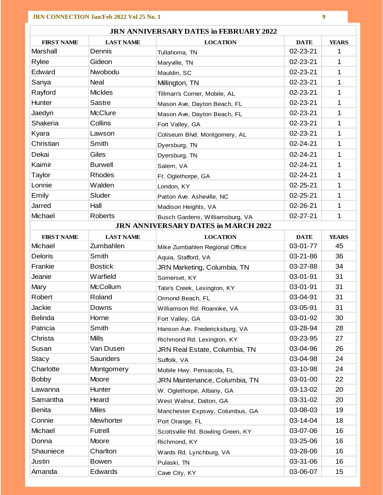| <b>JRN ANNIVERSARY DATES in FEBRUARY 2022</b> |                  |                                            |             |              |  |
|-----------------------------------------------|------------------|--------------------------------------------|-------------|--------------|--|
| <b>FIRST NAME</b>                             | <b>LAST NAME</b> | <b>LOCATION</b>                            | <b>DATE</b> | <b>YEARS</b> |  |
| Marshall                                      | Dennis           | Tullahoma, TN                              | 02-23-21    | 1            |  |
| Rylee                                         | Gideon           | Maryville, TN                              | 02-23-21    | 1            |  |
| Edward                                        | Nwobodu          | Mauldin, SC                                | 02-23-21    | 1            |  |
| Sanya                                         | <b>Neal</b>      | Millington, TN                             | 02-23-21    | 1            |  |
| Rayford                                       | <b>Mickles</b>   | Tillman's Corner, Mobile, AL               | 02-23-21    | 1            |  |
| Hunter                                        | Sastre           | Mason Ave, Dayton Beach, FL                | 02-23-21    | 1            |  |
| Jaedyn                                        | <b>McClure</b>   | Mason Ave, Dayton Beach, FL                | 02-23-21    | 1            |  |
| Shakeria                                      | Collins          | Fort Valley, GA                            | 02-23-21    | 1.           |  |
| Kyara                                         | Lawson           | Coliseum Blvd. Montgomery, AL              | 02-23-21    | 1            |  |
| Christian                                     | Smith            | Dyersburg, TN                              | 02-24-21    | 1            |  |
| Dekai                                         | Giles            | Dyersburg, TN                              | 02-24-21    | 1            |  |
| Kaimir                                        | <b>Burwell</b>   | Salem, VA                                  | 02-24-21    | 1            |  |
| Taylor                                        | Rhodes           | Ft. Oglethorpe, GA                         | 02-24-21    | 1            |  |
| Lonnie                                        | Walden           | London, KY                                 | 02-25-21    | 1            |  |
| Emily                                         | Sluder           | Patton Ave. Asheville, NC                  | 02-25-21    | 1            |  |
| Jarred                                        | Hall             | Madison Heights, VA                        | 02-26-21    | 1.           |  |
| Michael                                       | <b>Roberts</b>   | Busch Gardens, Williamsburg, VA            | 02-27-21    | 1            |  |
|                                               |                  | <b>JRN ANNIVERSARY DATES in MARCH 2022</b> |             |              |  |
| <b>FIRST NAME</b>                             | <b>LAST NAME</b> | <b>LOCATION</b>                            | <b>DATE</b> | <b>YEARS</b> |  |
| Michael                                       | Zumbahlen        | Mike Zumbahlen Regional Office             | 03-01-77    | 45           |  |
| <b>Deloris</b>                                | Smith            | Aquia, Stafford, VA                        | 03-21-86    | 36           |  |
| Frankie                                       | <b>Bostick</b>   | JRN Marketing, Columbia, TN                | 03-27-88    | 34           |  |
| Jeanie                                        | Warfield         | Somerset, KY                               | 03-01-91    | 31           |  |
| Mary                                          | <b>McCollum</b>  | Tate's Creek, Lexington, KY                | 03-01-91    | 31           |  |
| Robert                                        | Roland           | Ormond Beach, FL                           | 03-04-91    | 31           |  |
| Jackie                                        | Downs            | Williamson Rd. Roanoke, VA                 | 03-05-91    | 31           |  |
| <b>Belinda</b>                                | Horne            | Fort Valley, GA                            | 03-01-92    | 30           |  |
| Patricia                                      | Smith            | Hanson Ave. Fredericksburg, VA             | 03-28-94    | 28           |  |
| Christa                                       | <b>Mills</b>     | Richmond Rd. Lexington, KY                 | 03-23-95    | 27           |  |
| Susan                                         | Van Dusen        | JRN Real Estate, Columbia, TN              | 03-04-96    | 26           |  |
| <b>Stacy</b>                                  | <b>Saunders</b>  | Suffolk, VA                                | 03-04-98    | 24           |  |
| Charlotte                                     | Montgomery       | Mobile Hwy. Pensacola, FL                  | 03-10-98    | 24           |  |
| <b>Bobby</b>                                  | Moore            | JRN Maintenance, Columbia, TN              | 03-01-00    | 22           |  |
| Lawanna                                       | Hunter           | W. Oglethorpe, Albany, GA                  | 03-13-02    | 20           |  |
| Samantha                                      | Heard            | West Walnut, Dalton, GA                    | 03-31-02    | 20           |  |
| <b>Benita</b>                                 | <b>Miles</b>     | Manchester Expswy, Columbus, GA            | 03-08-03    | 19           |  |
| Connie                                        | Mewhorter        | Port Orange, FL                            | 03-14-04    | 18           |  |
| Michael                                       | Futrell          | Scottsville Rd. Bowling Green, KY          | 03-07-06    | 16           |  |
| Donna                                         | Moore            | Richmond, KY                               | 03-25-06    | 16           |  |
| Shauniece                                     | Charlton         | Wards Rd. Lynchburg, VA                    | 03-28-06    | 16           |  |
| Justin                                        | <b>Bowen</b>     | Pulaski, TN                                | 03-31-06    | 16           |  |
| Amanda                                        | Edwards          | Cave City, KY                              | 03-06-07    | 15           |  |

ä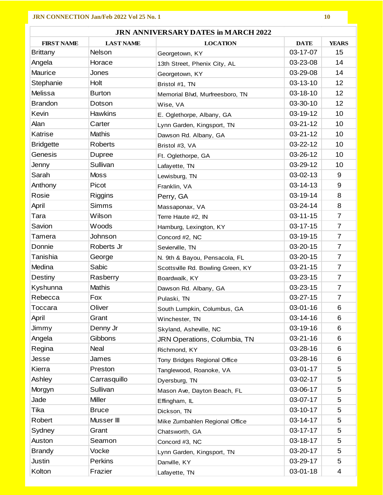| <b>JRN ANNIVERSARY DATES in MARCH 2022</b> |                  |                                   |                |                 |  |
|--------------------------------------------|------------------|-----------------------------------|----------------|-----------------|--|
| <b>FIRST NAME</b>                          | <b>LAST NAME</b> | <b>LOCATION</b>                   | <b>DATE</b>    | <b>YEARS</b>    |  |
| <b>Brittany</b>                            | Nelson           | Georgetown, KY                    | 03-17-07       | 15              |  |
| Angela                                     | Horace           | 13th Street, Phenix City, AL      | 03-23-08       | 14              |  |
| Maurice                                    | Jones            | Georgetown, KY                    | 03-29-08       | 14              |  |
| Stephanie                                  | Holt             | Bristol #1, TN                    | 03-13-10       | 12 <sub>2</sub> |  |
| Melissa                                    | <b>Burton</b>    | Memorial Blvd, Murfreesboro, TN   | 03-18-10       | 12              |  |
| <b>Brandon</b>                             | Dotson           | Wise, VA                          | 03-30-10       | 12              |  |
| Kevin                                      | Hawkins          | E. Oglethorpe, Albany, GA         | 03-19-12       | 10              |  |
| Alan                                       | Carter           | Lynn Garden, Kingsport, TN        | $03 - 21 - 12$ | 10              |  |
| Katrise                                    | <b>Mathis</b>    | Dawson Rd. Albany, GA             | $03 - 21 - 12$ | 10              |  |
| <b>Bridgette</b>                           | <b>Roberts</b>   | Bristol #3, VA                    | 03-22-12       | 10              |  |
| Genesis                                    | Dupree           | Ft. Oglethorpe, GA                | 03-26-12       | 10              |  |
| Jenny                                      | Sullivan         | Lafayette, TN                     | 03-29-12       | 10              |  |
| Sarah                                      | <b>Moss</b>      | Lewisburg, TN                     | $03-02-13$     | 9               |  |
| Anthony                                    | Picot            | Franklin, VA                      | $03 - 14 - 13$ | 9               |  |
| Rosie                                      | <b>Riggins</b>   | Perry, GA                         | 03-19-14       | 8               |  |
| April                                      | <b>Simms</b>     | Massaponax, VA                    | 03-24-14       | 8               |  |
| Tara                                       | Wilson           | Terre Haute #2, IN                | $03 - 11 - 15$ | $\overline{7}$  |  |
| Savion                                     | Woods            | Hamburg, Lexington, KY            | $03 - 17 - 15$ | $\overline{7}$  |  |
| Tamera                                     | Johnson          | Concord #2, NC                    | 03-19-15       | $\overline{7}$  |  |
| Donnie                                     | Roberts Jr       | Sevierville, TN                   | 03-20-15       | $\overline{7}$  |  |
| Tanishia                                   | George           | N. 9th & Bayou, Pensacola, FL     | 03-20-15       | $\overline{7}$  |  |
| Medina                                     | Sabic            | Scottsville Rd. Bowling Green, KY | $03 - 21 - 15$ | $\overline{7}$  |  |
| Destiny                                    | Rasberry         | Boardwalk, KY                     | 03-23-15       | $\overline{7}$  |  |
| Kyshunna                                   | <b>Mathis</b>    | Dawson Rd. Albany, GA             | $03 - 23 - 15$ | $\overline{7}$  |  |
| Rebecca                                    | Fox              | Pulaski, TN                       | $03 - 27 - 15$ | $\overline{7}$  |  |
| Toccara                                    | Oliver           | South Lumpkin, Columbus, GA       | 03-01-16       | 6               |  |
| April                                      | Grant            | Winchester, TN                    | 03-14-16       | 6               |  |
| Jimmy                                      | Denny Jr         | Skyland, Asheville, NC            | 03-19-16       | 6               |  |
| Angela                                     | Gibbons          | JRN Operations, Columbia, TN      | $03 - 21 - 16$ | 6               |  |
| Regina                                     | Neal             | Richmond, KY                      | 03-28-16       | 6               |  |
| Jesse                                      | James            | Tony Bridges Regional Office      | 03-28-16       | 6               |  |
| Kierra                                     | Preston          | Tanglewood, Roanoke, VA           | 03-01-17       | 5               |  |
| Ashley                                     | Carrasquillo     | Dyersburg, TN                     | 03-02-17       | 5               |  |
| Morgyn                                     | Sullivan         | Mason Ave, Dayton Beach, FL       | 03-06-17       | 5               |  |
| Jade                                       | <b>Miller</b>    | Effingham, IL                     | 03-07-17       | 5               |  |
| Tika                                       | <b>Bruce</b>     | Dickson, TN                       | 03-10-17       | 5               |  |
| Robert                                     | Musser III       | Mike Zumbahlen Regional Office    | 03-14-17       | 5               |  |
| Sydney                                     | Grant            | Chatsworth, GA                    | 03-17-17       | 5               |  |
| Auston                                     | Seamon           | Concord #3, NC                    | 03-18-17       | 5               |  |
| <b>Brandy</b>                              | Vocke            | Lynn Garden, Kingsport, TN        | 03-20-17       | 5               |  |
| Justin                                     | <b>Perkins</b>   | Danville, KY                      | 03-29-17       | 5               |  |
| Kolton                                     | Frazier          | Lafayette, TN                     | 03-01-18       | 4               |  |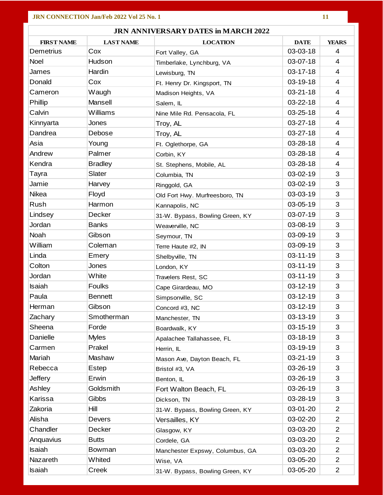| <b>JRN ANNIVERSARY DATES in MARCH 2022</b> |                  |                                 |                |                |
|--------------------------------------------|------------------|---------------------------------|----------------|----------------|
| <b>FIRST NAME</b>                          | <b>LAST NAME</b> | <b>LOCATION</b>                 | <b>DATE</b>    | <b>YEARS</b>   |
| Demetrius                                  | Cox              | Fort Valley, GA                 | 03-03-18       | $\overline{4}$ |
| Noel                                       | Hudson           | Timberlake, Lynchburg, VA       | 03-07-18       | 4              |
| James                                      | Hardin           | Lewisburg, TN                   | $03 - 17 - 18$ | 4              |
| Donald                                     | Cox              | Ft. Henry Dr. Kingsport, TN     | 03-19-18       | $\overline{4}$ |
| Cameron                                    | Waugh            | Madison Heights, VA             | $03 - 21 - 18$ | $\overline{4}$ |
| Phillip                                    | Mansell          | Salem, IL                       | 03-22-18       | 4              |
| Calvin                                     | Williams         | Nine Mile Rd. Pensacola, FL     | $03 - 25 - 18$ | 4              |
| Kinnyarta                                  | Jones            | Troy, AL                        | $03 - 27 - 18$ | $\overline{4}$ |
| Dandrea                                    | Debose           | Troy, AL                        | 03-27-18       | 4              |
| Asia                                       | Young            | Ft. Oglethorpe, GA              | 03-28-18       | 4              |
| Andrew                                     | Palmer           | Corbin, KY                      | 03-28-18       | 4              |
| Kendra                                     | <b>Bradley</b>   | St. Stephens, Mobile, AL        | 03-28-18       | $\overline{4}$ |
| Tayra                                      | Slater           | Columbia, TN                    | 03-02-19       | 3              |
| Jamie                                      | Harvey           | Ringgold, GA                    | 03-02-19       | 3              |
| Nikea                                      | Floyd            | Old Fort Hwy. Murfreesboro, TN  | 03-03-19       | 3              |
| Rush                                       | Harmon           | Kannapolis, NC                  | 03-05-19       | 3              |
| Lindsey                                    | Decker           | 31-W. Bypass, Bowling Green, KY | 03-07-19       | 3              |
| Jordan                                     | <b>Banks</b>     | Weaverville, NC                 | 03-08-19       | 3              |
| Noah                                       | Gibson           | Seymour, TN                     | 03-09-19       | 3              |
| William                                    | Coleman          | Terre Haute #2, IN              | 03-09-19       | 3              |
| Linda                                      | Emery            | Shelbyville, TN                 | $03 - 11 - 19$ | 3              |
| Colton                                     | Jones            | London, KY                      | 03-11-19       | 3              |
| Jordan                                     | White            | Travelers Rest, SC              | 03-11-19       | 3              |
| Isaiah                                     | <b>Foulks</b>    | Cape Girardeau, MO              | $03 - 12 - 19$ | 3              |
| Paula                                      | <b>Bennett</b>   | Simpsonville, SC                | 03-12-19       | 3              |
| Herman                                     | Gibson           | Concord #3, NC                  | 03-12-19       | 3              |
| Zachary                                    | Smotherman       | Manchester, TN                  | 03-13-19       | 3              |
| Sheena                                     | Forde            | Boardwalk, KY                   | 03-15-19       | 3              |
| Danielle                                   | <b>Myles</b>     | Apalachee Tallahassee, FL       | 03-18-19       | 3              |
| Carmen                                     | Prakel           | Herrin, IL                      | 03-19-19       | 3              |
| Mariah                                     | Mashaw           | Mason Ave, Dayton Beach, FL     | 03-21-19       | 3              |
| Rebecca                                    | Estep            | Bristol #3, VA                  | 03-26-19       | 3              |
| <b>Jeffery</b>                             | Erwin            | Benton, IL                      | 03-26-19       | 3              |
| Ashley                                     | Goldsmith        | Fort Walton Beach, FL           | 03-26-19       | 3              |
| Karissa                                    | Gibbs            | Dickson, TN                     | 03-28-19       | 3              |
| Zakoria                                    | Hill             | 31-W. Bypass, Bowling Green, KY | 03-01-20       | $\overline{2}$ |
| Alisha                                     | <b>Devers</b>    | Versailles, KY                  | 03-02-20       | $\overline{2}$ |
| Chandler                                   | Decker           | Glasgow, KY                     | 03-03-20       | $\overline{2}$ |
| Anquavius                                  | <b>Butts</b>     | Cordele, GA                     | 03-03-20       | $\overline{2}$ |
| <b>Isaiah</b>                              | Bowman           | Manchester Expswy, Columbus, GA | 03-03-20       | $\overline{2}$ |
| Nazareth                                   | Whited           | Wise, VA                        | 03-05-20       | $\overline{2}$ |
| <b>Isaiah</b>                              | Creek            | 31-W. Bypass, Bowling Green, KY | 03-05-20       | $\overline{2}$ |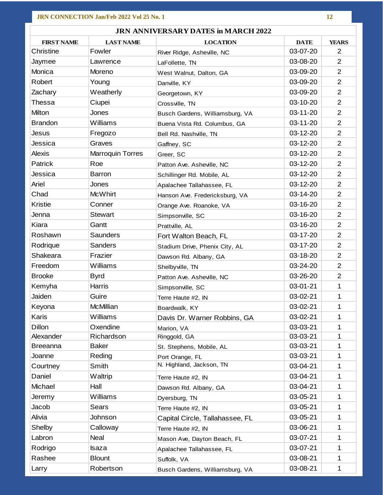| <b>JRN ANNIVERSARY DATES in MARCH 2022</b> |                         |                                 |             |                |  |
|--------------------------------------------|-------------------------|---------------------------------|-------------|----------------|--|
| <b>FIRST NAME</b>                          | <b>LAST NAME</b>        | <b>LOCATION</b>                 | <b>DATE</b> | <b>YEARS</b>   |  |
| Christine                                  | Fowler                  | River Ridge, Asheville, NC      | 03-07-20    | 2              |  |
| Jaymee                                     | Lawrence                | LaFollette, TN                  | 03-08-20    | $\overline{2}$ |  |
| Monica                                     | Moreno                  | West Walnut, Dalton, GA         | 03-09-20    | $\overline{2}$ |  |
| Robert                                     | Young                   | Danville, KY                    | 03-09-20    | $\overline{2}$ |  |
| Zachary                                    | Weatherly               | Georgetown, KY                  | 03-09-20    | $\overline{2}$ |  |
| <b>Thessa</b>                              | Ciupei                  | Crossville, TN                  | 03-10-20    | $\overline{2}$ |  |
| Milton                                     | Jones                   | Busch Gardens, Williamsburg, VA | 03-11-20    | $\overline{2}$ |  |
| <b>Brandon</b>                             | Williams                | Buena Vista Rd. Columbus, GA    | 03-11-20    | $\overline{2}$ |  |
| Jesus                                      | Fregozo                 | Bell Rd. Nashville, TN          | 03-12-20    | $\overline{2}$ |  |
| Jessica                                    | Graves                  | Gaffney, SC                     | 03-12-20    | $\overline{2}$ |  |
| <b>Alexis</b>                              | <b>Marroquin Torres</b> | Greer, SC                       | 03-12-20    | $\overline{2}$ |  |
| <b>Patrick</b>                             | Roe                     | Patton Ave. Asheville, NC       | 03-12-20    | $\overline{2}$ |  |
| Jessica                                    | Barron                  | Schillinger Rd. Mobile, AL      | 03-12-20    | $\overline{2}$ |  |
| Ariel                                      | Jones                   | Apalachee Tallahassee, FL       | 03-12-20    | $\overline{2}$ |  |
| Chad                                       | <b>McWhirt</b>          | Hanson Ave. Fredericksburg, VA  | 03-14-20    | $\overline{2}$ |  |
| <b>Kristie</b>                             | Conner                  | Orange Ave. Roanoke, VA         | 03-16-20    | $\overline{2}$ |  |
| Jenna                                      | <b>Stewart</b>          | Simpsonville, SC                | 03-16-20    | $\overline{2}$ |  |
| Kiara                                      | Gantt                   | Prattville, AL                  | 03-16-20    | $\overline{2}$ |  |
| Roshawn                                    | <b>Saunders</b>         | Fort Walton Beach, FL           | 03-17-20    | $\overline{2}$ |  |
| Rodrique                                   | <b>Sanders</b>          | Stadium Drive, Phenix City, AL  | 03-17-20    | $\overline{2}$ |  |
| Shakeara                                   | Frazier                 | Dawson Rd. Albany, GA           | 03-18-20    | $\overline{2}$ |  |
| Freedom                                    | Williams                | Shelbyville, TN                 | 03-24-20    | $\overline{2}$ |  |
| <b>Brooke</b>                              | <b>Byrd</b>             | Patton Ave. Asheville, NC       | 03-26-20    | $\overline{2}$ |  |
| Kemyha                                     | Harris                  | Simpsonville, SC                | 03-01-21    | 1              |  |
| Jaiden                                     | Guire                   | Terre Haute #2, IN              | 03-02-21    | 1              |  |
| Keyona                                     | <b>McMillian</b>        | Boardwalk, KY                   | 03-02-21    | 1              |  |
| Karis                                      | Williams                | Davis Dr. Warner Robbins, GA    | 03-02-21    | 1              |  |
| <b>Dillon</b>                              | Oxendine                | Marion, VA                      | 03-03-21    | 1              |  |
| Alexander                                  | Richardson              | Ringgold, GA                    | 03-03-21    | 1              |  |
| <b>Breeanna</b>                            | <b>Baker</b>            | St. Stephens, Mobile, AL        | 03-03-21    | 1              |  |
| Joanne                                     | Reding                  | Port Orange, FL                 | 03-03-21    | 1              |  |
| Courtney                                   | Smith                   | N. Highland, Jackson, TN        | 03-04-21    | 1              |  |
| Daniel                                     | Waltrip                 | Terre Haute #2, IN              | 03-04-21    | 1              |  |
| Michael                                    | Hall                    | Dawson Rd. Albany, GA           | 03-04-21    | 1              |  |
| Jeremy                                     | Williams                | Dyersburg, TN                   | 03-05-21    | 1.             |  |
| Jacob                                      | Sears                   | Terre Haute #2, IN              | 03-05-21    | 1              |  |
| Alivia                                     | Johnson                 | Capital Circle, Tallahassee, FL | 03-05-21    | 1              |  |
| Shelby                                     | Calloway                | Terre Haute #2, IN              | 03-06-21    | 1.             |  |
| Labron                                     | Neal                    | Mason Ave, Dayton Beach, FL     | 03-07-21    | 1              |  |
| Rodrigo                                    | Isaza                   | Apalachee Tallahassee, FL       | 03-07-21    |                |  |
| Rashee                                     | <b>Blount</b>           | Suffolk, VA                     | 03-08-21    | 1              |  |
| Larry                                      | Robertson               | Busch Gardens, Williamsburg, VA | 03-08-21    | 1              |  |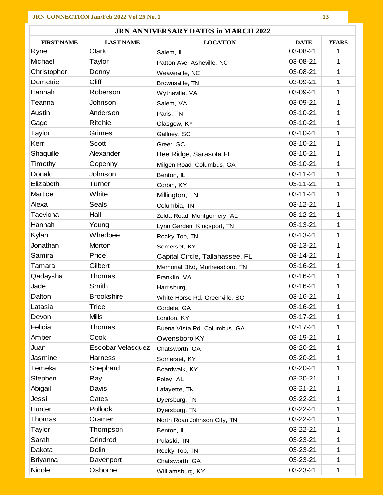| <b>JRN ANNIVERSARY DATES in MARCH 2022</b> |                   |                                 |                |              |  |
|--------------------------------------------|-------------------|---------------------------------|----------------|--------------|--|
| <b>FIRST NAME</b>                          | <b>LAST NAME</b>  | <b>LOCATION</b>                 | <b>DATE</b>    | <b>YEARS</b> |  |
| Ryne                                       | Clark             | Salem, IL                       | 03-08-21       | 1            |  |
| Michael                                    | Taylor            | Patton Ave. Asheville, NC       | 03-08-21       | 1            |  |
| Christopher                                | Denny             | Weaverville, NC                 | 03-08-21       | 1            |  |
| Demetric                                   | <b>Cliff</b>      | Brownsville, TN                 | 03-09-21       | 1.           |  |
| Hannah                                     | Roberson          | Wytheville, VA                  | 03-09-21       | 1            |  |
| Teanna                                     | Johnson           | Salem, VA                       | 03-09-21       | 1            |  |
| Austin                                     | Anderson          | Paris, TN                       | 03-10-21       | 1            |  |
| Gage                                       | <b>Ritchie</b>    | Glasgow, KY                     | 03-10-21       | 1.           |  |
| Taylor                                     | Grimes            | Gaffney, SC                     | 03-10-21       | 1            |  |
| Kerri                                      | Scott             | Greer, SC                       | 03-10-21       | 1            |  |
| Shaquille                                  | Alexander         | Bee Ridge, Sarasota FL          | 03-10-21       | 1            |  |
| Timothy                                    | Copenny           | Milgen Road, Columbus, GA       | 03-10-21       | 1            |  |
| Donald                                     | Johnson           | Benton, IL                      | $03 - 11 - 21$ | 1            |  |
| Elizabeth                                  | Turner            | Corbin, KY                      | 03-11-21       | 1            |  |
| Martice                                    | White             | Millington, TN                  | 03-11-21       | 1            |  |
| Alexa                                      | Seals             | Columbia, TN                    | 03-12-21       | 1            |  |
| Taeviona                                   | Hall              | Zelda Road, Montgomery, AL      | 03-12-21       | 1            |  |
| Hannah                                     | Young             | Lynn Garden, Kingsport, TN      | 03-13-21       | 1            |  |
| Kylah                                      | Whedbee           | Rocky Top, TN                   | 03-13-21       | 1            |  |
| Jonathan                                   | Morton            | Somerset, KY                    | 03-13-21       | 1            |  |
| Samira                                     | Price             | Capital Circle, Tallahassee, FL | 03-14-21       | 1            |  |
| Tamara                                     | Gilbert           | Memorial Blvd, Murfreesboro, TN | 03-16-21       | 1            |  |
| Qadaysha                                   | Thomas            | Franklin, VA                    | 03-16-21       | 1            |  |
| Jade                                       | Smith             | Harrisburg, IL                  | 03-16-21       | 1            |  |
| Dalton                                     | <b>Brookshire</b> | White Horse Rd. Greenville, SC  | 03-16-21       | 1            |  |
| Latasia                                    | <b>Trice</b>      | Cordele, GA                     | 03-16-21       | 1            |  |
| Devon                                      | <b>Mills</b>      | London, KY                      | 03-17-21       | 1            |  |
| Felicia                                    | Thomas            | Buena Vista Rd. Columbus, GA    | 03-17-21       | 1            |  |
| Amber                                      | Cook              | Owensboro KY                    | 03-19-21       |              |  |
| Juan                                       | Escobar Velasquez | Chatsworth, GA                  | 03-20-21       | 1            |  |
| Jasmine                                    | <b>Harness</b>    | Somerset, KY                    | 03-20-21       |              |  |
| Temeka                                     | Shephard          | Boardwalk, KY                   | 03-20-21       | 1            |  |
| Stephen                                    | Ray               | Foley, AL                       | 03-20-21       | 1            |  |
| Abigail                                    | Davis             | Lafayette, TN                   | 03-21-21       | 1            |  |
| Jessi                                      | Cates             | Dyersburg, TN                   | 03-22-21       | 1            |  |
| Hunter                                     | Pollock           | Dyersburg, TN                   | 03-22-21       | 1            |  |
| Thomas                                     | Cramer            | North Roan Johnson City, TN     | 03-22-21       | 1.           |  |
| <b>Taylor</b>                              | Thompson          | Benton, IL                      | 03-22-21       | 1            |  |
| Sarah                                      | Grindrod          | Pulaski, TN                     | 03-23-21       | 1            |  |
| Dakota                                     | Dolin             | Rocky Top, TN                   | 03-23-21       | 1.           |  |
| <b>Briyanna</b>                            | Davenport         | Chatsworth, GA                  | 03-23-21       | 1            |  |
| Nicole                                     | Osborne           | Williamsburg, KY                | 03-23-21       | 1            |  |